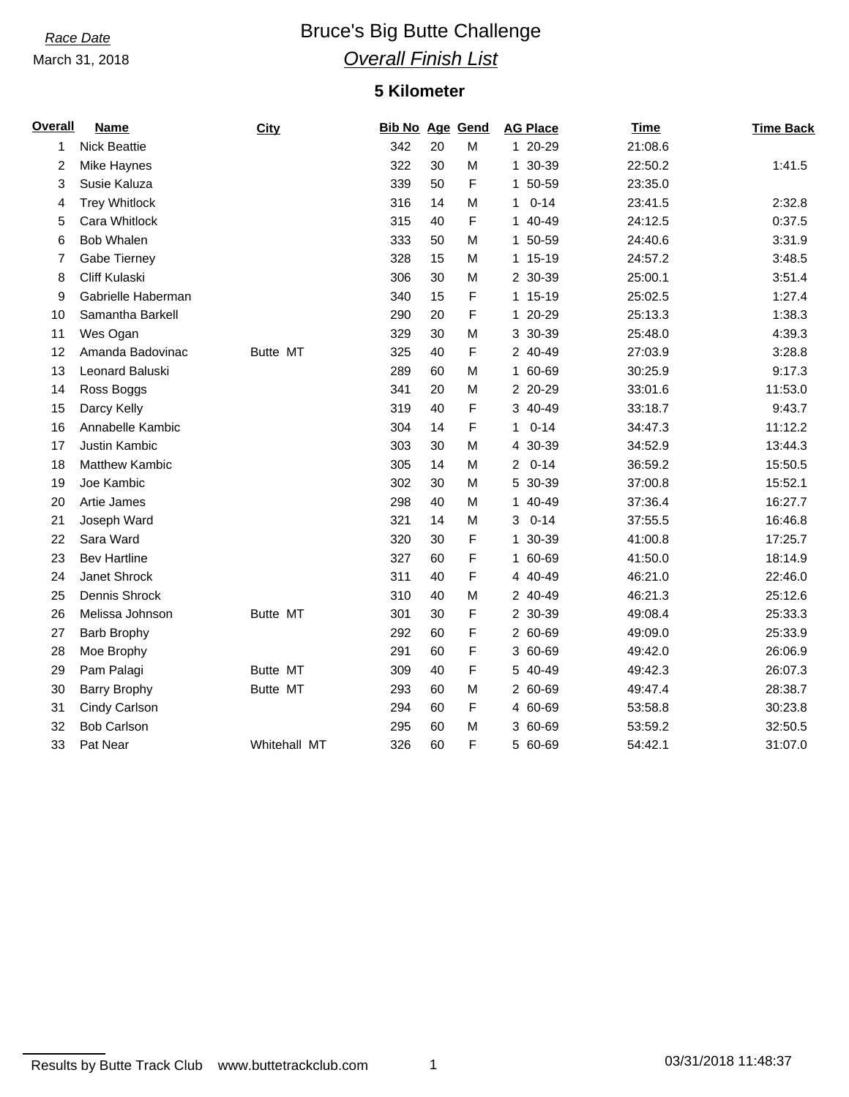March 31, 2018

# **Race Date Bruce's Big Butte Challenge** *Overall Finish List*

### **5 Kilometer**

| Overall | <b>Name</b>           | <b>City</b>     | <b>Bib No Age Gend</b> |    |   | <b>AG Place</b>          | <b>Time</b> | <b>Time Back</b> |
|---------|-----------------------|-----------------|------------------------|----|---|--------------------------|-------------|------------------|
| 1       | <b>Nick Beattie</b>   |                 | 342                    | 20 | M | 1 20-29                  | 21:08.6     |                  |
| 2       | <b>Mike Haynes</b>    |                 | 322                    | 30 | M | 1 30-39                  | 22:50.2     | 1:41.5           |
| 3       | Susie Kaluza          |                 | 339                    | 50 | F | 1 50-59                  | 23:35.0     |                  |
| 4       | <b>Trey Whitlock</b>  |                 | 316                    | 14 | M | $0 - 14$<br>$\mathbf{1}$ | 23:41.5     | 2:32.8           |
| 5       | Cara Whitlock         |                 | 315                    | 40 | F | 1 40-49                  | 24:12.5     | 0:37.5           |
| 6       | <b>Bob Whalen</b>     |                 | 333                    | 50 | M | 1 50-59                  | 24:40.6     | 3:31.9           |
| 7       | Gabe Tierney          |                 | 328                    | 15 | M | 1 15-19                  | 24:57.2     | 3:48.5           |
| 8       | Cliff Kulaski         |                 | 306                    | 30 | M | 2 30-39                  | 25:00.1     | 3:51.4           |
| 9       | Gabrielle Haberman    |                 | 340                    | 15 | F | 1 15-19                  | 25:02.5     | 1:27.4           |
| 10      | Samantha Barkell      |                 | 290                    | 20 | F | 1 20-29                  | 25:13.3     | 1:38.3           |
| 11      | Wes Ogan              |                 | 329                    | 30 | M | 3 30-39                  | 25:48.0     | 4:39.3           |
| 12      | Amanda Badovinac      | <b>Butte MT</b> | 325                    | 40 | F | 2 40-49                  | 27:03.9     | 3:28.8           |
| 13      | Leonard Baluski       |                 | 289                    | 60 | M | 1 60-69                  | 30:25.9     | 9:17.3           |
| 14      | Ross Boggs            |                 | 341                    | 20 | M | 2 20-29                  | 33:01.6     | 11:53.0          |
| 15      | Darcy Kelly           |                 | 319                    | 40 | F | 3 40-49                  | 33:18.7     | 9:43.7           |
| 16      | Annabelle Kambic      |                 | 304                    | 14 | F | $0 - 14$<br>$\mathbf{1}$ | 34:47.3     | 11:12.2          |
| 17      | Justin Kambic         |                 | 303                    | 30 | M | 4 30-39                  | 34:52.9     | 13:44.3          |
| 18      | <b>Matthew Kambic</b> |                 | 305                    | 14 | M | $20 - 14$                | 36:59.2     | 15:50.5          |
| 19      | Joe Kambic            |                 | 302                    | 30 | M | 5 30-39                  | 37:00.8     | 15:52.1          |
| 20      | Artie James           |                 | 298                    | 40 | M | 1 40-49                  | 37:36.4     | 16:27.7          |
| 21      | Joseph Ward           |                 | 321                    | 14 | M | $30 - 14$                | 37:55.5     | 16:46.8          |
| 22      | Sara Ward             |                 | 320                    | 30 | F | 1 30-39                  | 41:00.8     | 17:25.7          |
| 23      | <b>Bev Hartline</b>   |                 | 327                    | 60 | F | 1 60-69                  | 41:50.0     | 18:14.9          |
| 24      | Janet Shrock          |                 | 311                    | 40 | F | 4 40-49                  | 46:21.0     | 22:46.0          |
| 25      | Dennis Shrock         |                 | 310                    | 40 | M | 2 40-49                  | 46:21.3     | 25:12.6          |
| 26      | Melissa Johnson       | Butte MT        | 301                    | 30 | F | 2 30-39                  | 49:08.4     | 25:33.3          |
| 27      | <b>Barb Brophy</b>    |                 | 292                    | 60 | F | 2 60-69                  | 49:09.0     | 25:33.9          |
| 28      | Moe Brophy            |                 | 291                    | 60 | F | 3 60-69                  | 49:42.0     | 26:06.9          |
| 29      | Pam Palagi            | <b>Butte MT</b> | 309                    | 40 | F | 5 40-49                  | 49:42.3     | 26:07.3          |
| 30      | <b>Barry Brophy</b>   | Butte MT        | 293                    | 60 | M | 2 60-69                  | 49:47.4     | 28:38.7          |
| 31      | Cindy Carlson         |                 | 294                    | 60 | F | 4 60-69                  | 53:58.8     | 30:23.8          |
| 32      | <b>Bob Carlson</b>    |                 | 295                    | 60 | M | 3 60-69                  | 53:59.2     | 32:50.5          |
| 33      | Pat Near              | Whitehall MT    | 326                    | 60 | F | 5 60-69                  | 54:42.1     | 31:07.0          |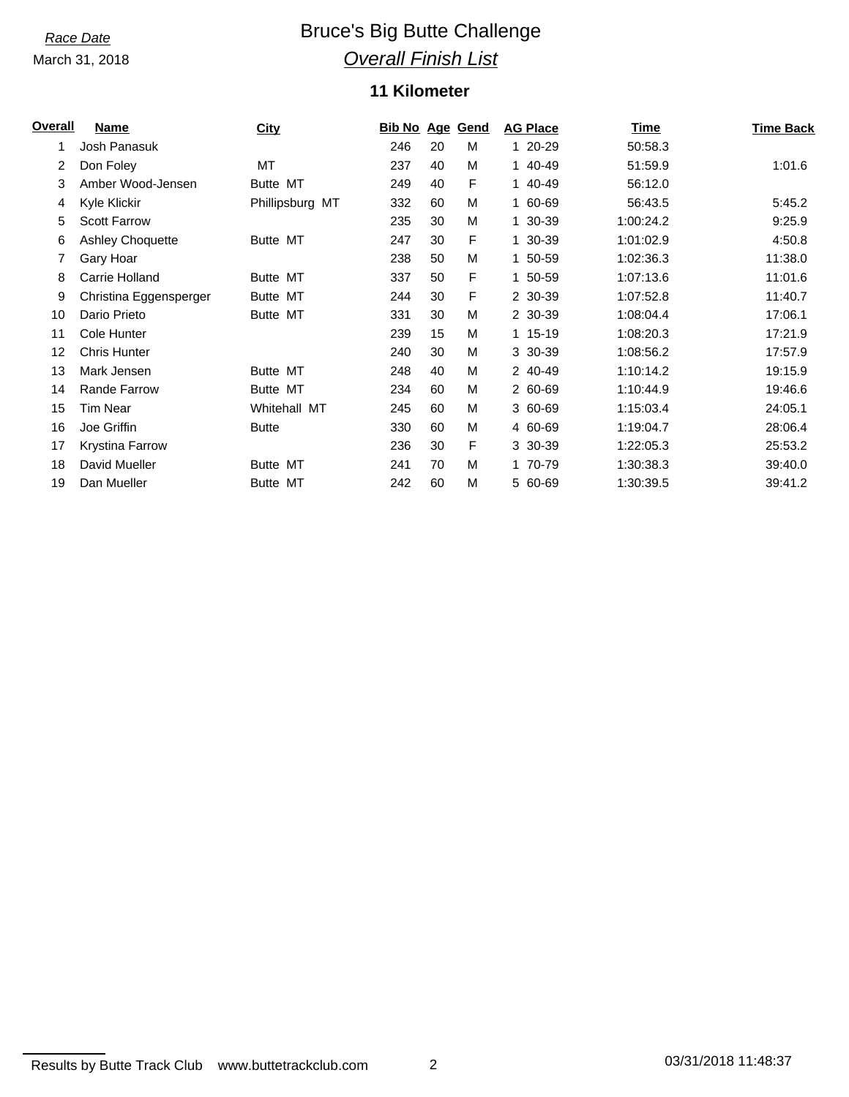March 31, 2018

# **Race Date Bruce's Big Butte Challenge** *Overall Finish List*

### **11 Kilometer**

| <b>Overall</b> | Name                    | <b>City</b>     | <b>Bib No Age</b> |    | Gend | <b>AG Place</b> | <b>Time</b> | <b>Time Back</b> |
|----------------|-------------------------|-----------------|-------------------|----|------|-----------------|-------------|------------------|
| 1              | Josh Panasuk            |                 | 246               | 20 | м    | 1 20-29         | 50:58.3     |                  |
| 2              | Don Foley               | МT              | 237               | 40 | М    | 1 40-49         | 51:59.9     | 1:01.6           |
| 3              | Amber Wood-Jensen       | Butte MT        | 249               | 40 | F    | 1 40-49         | 56:12.0     |                  |
| 4              | Kyle Klickir            | Phillipsburg MT | 332               | 60 | М    | 1 60-69         | 56:43.5     | 5:45.2           |
| 5              | <b>Scott Farrow</b>     |                 | 235               | 30 | М    | 1 30-39         | 1:00:24.2   | 9:25.9           |
| 6              | <b>Ashley Choquette</b> | Butte MT        | 247               | 30 | F    | 1 30-39         | 1:01:02.9   | 4:50.8           |
| 7              | Gary Hoar               |                 | 238               | 50 | М    | 1 50-59         | 1:02:36.3   | 11:38.0          |
| 8              | Carrie Holland          | Butte MT        | 337               | 50 | F    | 1 50-59         | 1:07:13.6   | 11:01.6          |
| 9              | Christina Eggensperger  | Butte MT        | 244               | 30 | F    | 2 30-39         | 1:07:52.8   | 11:40.7          |
| 10             | Dario Prieto            | Butte MT        | 331               | 30 | М    | 2 30-39         | 1:08:04.4   | 17:06.1          |
| 11             | Cole Hunter             |                 | 239               | 15 | М    | 1 15-19         | 1:08:20.3   | 17:21.9          |
| 12             | <b>Chris Hunter</b>     |                 | 240               | 30 | М    | 3 30-39         | 1:08:56.2   | 17:57.9          |
| 13             | Mark Jensen             | <b>Butte MT</b> | 248               | 40 | М    | 2 40-49         | 1:10:14.2   | 19:15.9          |
| 14             | <b>Rande Farrow</b>     | Butte MT        | 234               | 60 | М    | 2 60-69         | 1:10:44.9   | 19:46.6          |
| 15             | Tim Near                | Whitehall MT    | 245               | 60 | M    | 3 60-69         | 1:15:03.4   | 24:05.1          |
| 16             | Joe Griffin             | <b>Butte</b>    | 330               | 60 | М    | 4 60-69         | 1:19:04.7   | 28:06.4          |
| 17             | Krystina Farrow         |                 | 236               | 30 | F    | 3 30-39         | 1:22:05.3   | 25:53.2          |
| 18             | David Mueller           | Butte MT        | 241               | 70 | М    | 1 70-79         | 1:30:38.3   | 39:40.0          |
| 19             | Dan Mueller             | <b>Butte MT</b> | 242               | 60 | М    | 5 60-69         | 1:30:39.5   | 39:41.2          |

```
Results by Butte Track Club www.buttetrackclub.com 2 03/31/2018 11:48:37
```